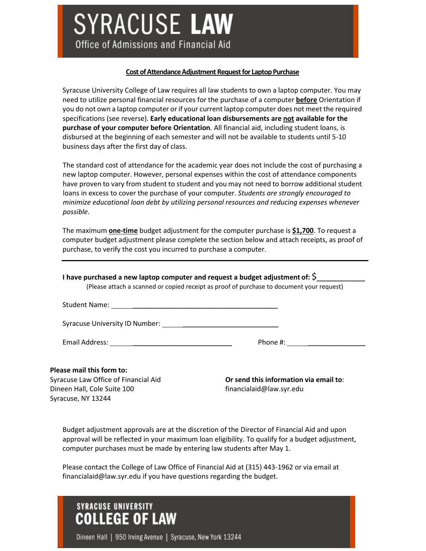# **SYRACUSE LAW**

Office of Admissions and Financial Aid

#### **Cost of Attendance Adjustment Request for Laptop Purchase**

Syracuse University College of Law requires all law students to own a laptop computer. You may need to utilize personal financial resources for the purchase of a computer **before** Orientation if you do not own a laptop computer or if your current laptop computer does not meet the required specifications (see reverse). **Early educational loan disbursements are not available for the purchase of your computer before Orientation**. All financial aid, including student loans, is disbursed at the beginning of each semester and will not be available to students until 5-10 business days after the first day of class.

The standard cost of attendance for the academic year does not include the cost of purchasing a new laptop computer. However, personal expenses within the cost of attendance components have proven to vary from student to student and you may not need to borrow additional student loans in excess to cover the purchase of your computer. *Students are strongly encouraged to minimize educational loan debt by utilizing personal resources and reducing expenses whenever possible*.

The maximum **one-time** budget adjustment for the computer purchase is **\$1,700**. To request a computer budget adjustment please complete the section below and attach receipts, as proof of purchase, to verify the cost you incurred to purchase a computer.

| I have purchased a new laptop computer and request a budget adjustment of: $\zeta$        |                                |
|-------------------------------------------------------------------------------------------|--------------------------------|
| (Please attach a scanned or copied receipt as proof of purchase to document your request) |                                |
|                                                                                           |                                |
|                                                                                           |                                |
|                                                                                           | Phone #: <u>______________</u> |
|                                                                                           |                                |

#### **Please mail this form to:**

Syracuse Law Office of Financial Aid Dineen Hall, Cole Suite 100 Syracuse, NY 13244

**Or send this information via email to**: financialaid@law.syr.edu

Budget adjustment approvals are at the discretion of the Director of Financial Aid and upon approval will be reflected in your maximum loan eligibility. To qualify for a budget adjustment, computer purchases must be made by entering law students after May 1.

Please contact the College of Law Office of Financial Aid at (315) 443-1962 or via email at [financialaid@law.syr.edu i](mailto:financialaid@law.syr.edu)f you have questions regarding the budget.

## **SYRACUSE UNIVERSITY COLLEGE OF LAW**

Dineen Hall | 950 Irving Avenue | Syracuse, New York 13244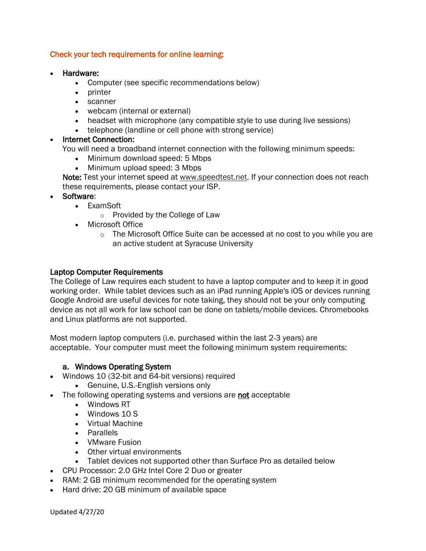#### Check your tech requirements for online learning:

- Hardware:
	- Computer (see specific recommendations below)
	- printer
	- scanner
	- webcam (internal or external)
	- headset with microphone (any compatible style to use during live sessions)
	- telephone (landline or cell phone with strong service)

#### • Internet Connection:

You will need a broadband internet connection with the following minimum speeds:

- Minimum download speed: 5 Mbps
- Minimum upload speed: 3 Mbps

Note: Test your internet speed at [www.speedtest.net.](http://www.speedtest.net/) If your connection does not reach these requirements, please contact your ISP.

- Software:
	- ExamSoft
		- o Provided by the College of Law
	- Microsoft Office
		- $\circ$  The Microsoft Office Suite can be accessed at no cost to you while you are an active student at Syracuse University

#### Laptop Computer Requirements

The College of Law requires each student to have a laptop computer and to keep it in good working order. While tablet devices such as an iPad running Apple's iOS or devices running Google Android are useful devices for note taking, they should not be your only computing device as not all work for law school can be done on tablets/mobile devices. Chromebooks and Linux platforms are not supported.

Most modern laptop computers (i.e. purchased within the last 2-3 years) are acceptable. Your computer must meet the following minimum system requirements:

#### a. Windows Operating System

- Windows 10 (32-bit and 64-bit versions) required
	- Genuine, U.S.-English versions only
- The following operating systems and versions are not acceptable
	- Windows RT
	- Windows 10 S
	- Virtual Machine
	- Parallels
	- VMware Fusion
	- Other virtual environments
	- Tablet devices not supported other than Surface Pro as detailed below
- CPU Processor: 2.0 GHz Intel Core 2 Duo or greater
- RAM: 2 GB minimum recommended for the operating system
- Hard drive: 20 GB minimum of available space